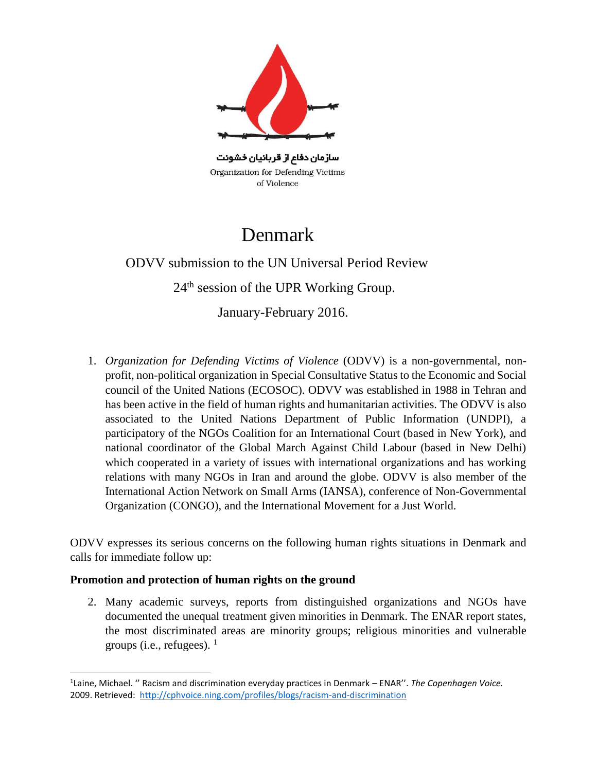

سازمان دفاع از قربانیان خشونت Organization for Defending Victims of Violence

## Denmark

 ODVV submission to the UN Universal Period Review 24th session of the UPR Working Group.

January-February 2016.

1. *Organization for Defending Victims of Violence* (ODVV) is a non-governmental, nonprofit, non-political organization in Special Consultative Status to the Economic and Social council of the United Nations (ECOSOC). ODVV was established in 1988 in Tehran and has been active in the field of human rights and humanitarian activities. The ODVV is also associated to the United Nations Department of Public Information (UNDPI), a participatory of the NGOs Coalition for an International Court (based in New York), and national coordinator of the Global March Against Child Labour (based in New Delhi) which cooperated in a variety of issues with international organizations and has working relations with many NGOs in Iran and around the globe. ODVV is also member of the International Action Network on Small Arms (IANSA), conference of Non-Governmental Organization (CONGO), and the International Movement for a Just World.

ODVV expresses its serious concerns on the following human rights situations in Denmark and calls for immediate follow up:

## **Promotion and protection of human rights on the ground**

l

2. Many academic surveys, reports from distinguished organizations and NGOs have documented the unequal treatment given minorities in Denmark. The ENAR report states, the most discriminated areas are minority groups; religious minorities and vulnerable groups (i.e., refugees).  $<sup>1</sup>$ </sup>

<sup>1</sup> Laine, Michael. '' Racism and discrimination everyday practices in Denmark – ENAR''. *The Copenhagen Voice.* 2009. Retrieved:<http://cphvoice.ning.com/profiles/blogs/racism-and-discrimination>